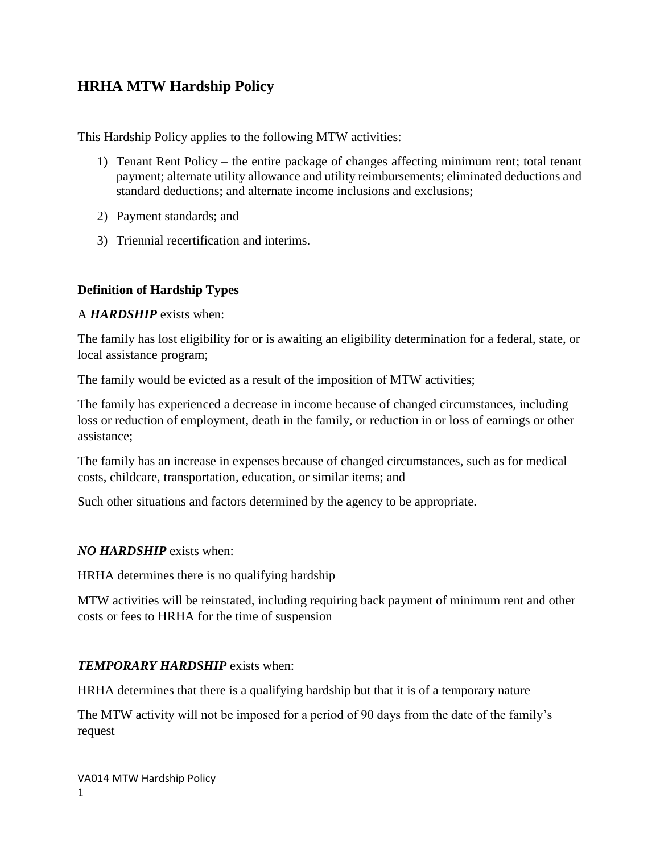# **HRHA MTW Hardship Policy**

This Hardship Policy applies to the following MTW activities:

- 1) Tenant Rent Policy the entire package of changes affecting minimum rent; total tenant payment; alternate utility allowance and utility reimbursements; eliminated deductions and standard deductions; and alternate income inclusions and exclusions;
- 2) Payment standards; and
- 3) Triennial recertification and interims.

# **Definition of Hardship Types**

## A *HARDSHIP* exists when:

The family has lost eligibility for or is awaiting an eligibility determination for a federal, state, or local assistance program;

The family would be evicted as a result of the imposition of MTW activities;

The family has experienced a decrease in income because of changed circumstances, including loss or reduction of employment, death in the family, or reduction in or loss of earnings or other assistance;

The family has an increase in expenses because of changed circumstances, such as for medical costs, childcare, transportation, education, or similar items; and

Such other situations and factors determined by the agency to be appropriate.

## *NO HARDSHIP* exists when:

HRHA determines there is no qualifying hardship

MTW activities will be reinstated, including requiring back payment of minimum rent and other costs or fees to HRHA for the time of suspension

## *TEMPORARY HARDSHIP* exists when:

HRHA determines that there is a qualifying hardship but that it is of a temporary nature

The MTW activity will not be imposed for a period of 90 days from the date of the family's request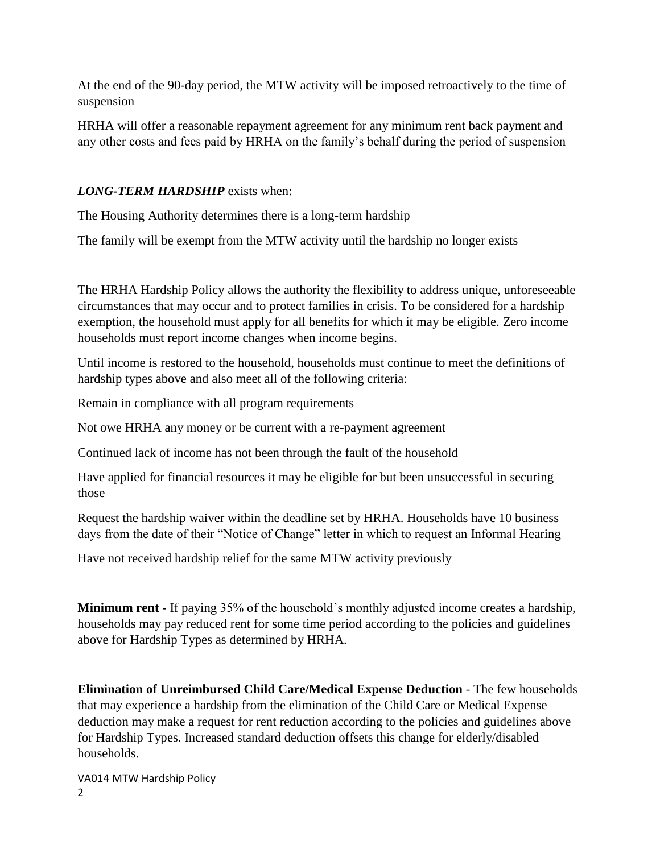At the end of the 90-day period, the MTW activity will be imposed retroactively to the time of suspension

HRHA will offer a reasonable repayment agreement for any minimum rent back payment and any other costs and fees paid by HRHA on the family's behalf during the period of suspension

# *LONG-TERM HARDSHIP* exists when:

The Housing Authority determines there is a long-term hardship

The family will be exempt from the MTW activity until the hardship no longer exists

The HRHA Hardship Policy allows the authority the flexibility to address unique, unforeseeable circumstances that may occur and to protect families in crisis. To be considered for a hardship exemption, the household must apply for all benefits for which it may be eligible. Zero income households must report income changes when income begins.

Until income is restored to the household, households must continue to meet the definitions of hardship types above and also meet all of the following criteria:

Remain in compliance with all program requirements

Not owe HRHA any money or be current with a re-payment agreement

Continued lack of income has not been through the fault of the household

Have applied for financial resources it may be eligible for but been unsuccessful in securing those

Request the hardship waiver within the deadline set by HRHA. Households have 10 business days from the date of their "Notice of Change" letter in which to request an Informal Hearing

Have not received hardship relief for the same MTW activity previously

**Minimum rent -** If paying 35% of the household's monthly adjusted income creates a hardship, households may pay reduced rent for some time period according to the policies and guidelines above for Hardship Types as determined by HRHA.

**Elimination of Unreimbursed Child Care/Medical Expense Deduction** - The few households that may experience a hardship from the elimination of the Child Care or Medical Expense deduction may make a request for rent reduction according to the policies and guidelines above for Hardship Types. Increased standard deduction offsets this change for elderly/disabled households.

VA014 MTW Hardship Policy 2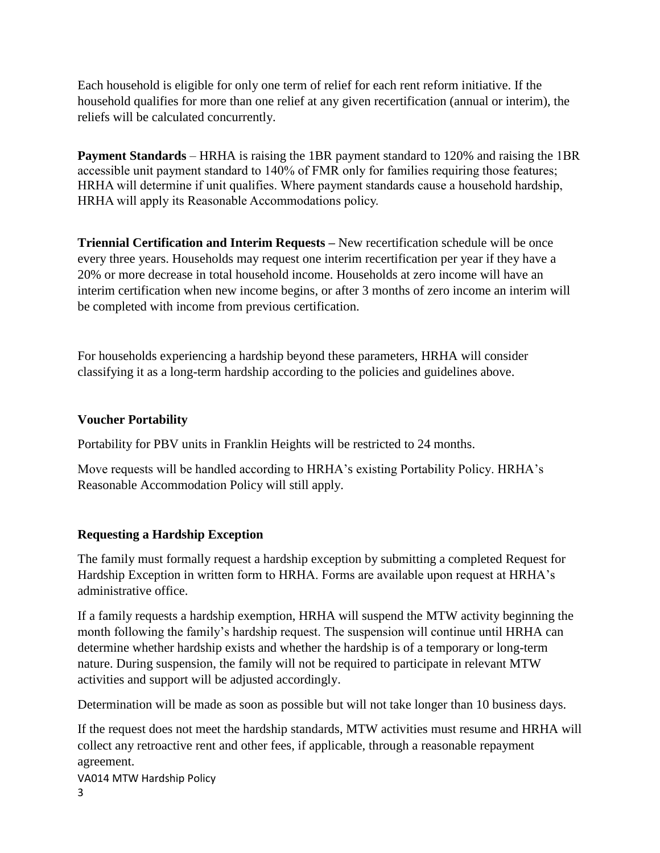Each household is eligible for only one term of relief for each rent reform initiative. If the household qualifies for more than one relief at any given recertification (annual or interim), the reliefs will be calculated concurrently.

**Payment Standards** – HRHA is raising the 1BR payment standard to 120% and raising the 1BR accessible unit payment standard to 140% of FMR only for families requiring those features; HRHA will determine if unit qualifies. Where payment standards cause a household hardship, HRHA will apply its Reasonable Accommodations policy.

**Triennial Certification and Interim Requests –** New recertification schedule will be once every three years. Households may request one interim recertification per year if they have a 20% or more decrease in total household income. Households at zero income will have an interim certification when new income begins, or after 3 months of zero income an interim will be completed with income from previous certification.

For households experiencing a hardship beyond these parameters, HRHA will consider classifying it as a long-term hardship according to the policies and guidelines above.

## **Voucher Portability**

Portability for PBV units in Franklin Heights will be restricted to 24 months.

Move requests will be handled according to HRHA's existing Portability Policy. HRHA's Reasonable Accommodation Policy will still apply.

# **Requesting a Hardship Exception**

The family must formally request a hardship exception by submitting a completed Request for Hardship Exception in written form to HRHA. Forms are available upon request at HRHA's administrative office.

If a family requests a hardship exemption, HRHA will suspend the MTW activity beginning the month following the family's hardship request. The suspension will continue until HRHA can determine whether hardship exists and whether the hardship is of a temporary or long-term nature. During suspension, the family will not be required to participate in relevant MTW activities and support will be adjusted accordingly.

Determination will be made as soon as possible but will not take longer than 10 business days.

VA014 MTW Hardship Policy If the request does not meet the hardship standards, MTW activities must resume and HRHA will collect any retroactive rent and other fees, if applicable, through a reasonable repayment agreement.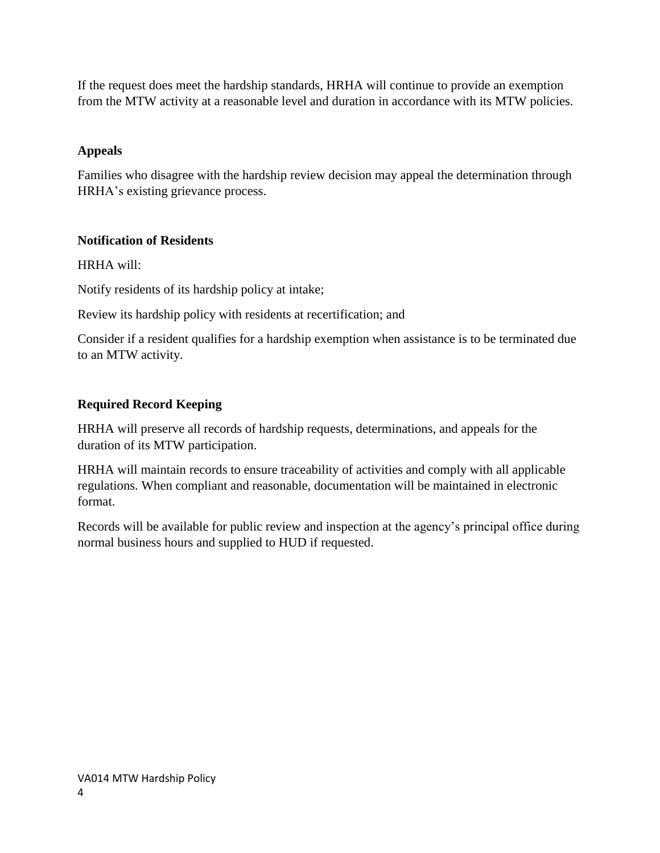If the request does meet the hardship standards, HRHA will continue to provide an exemption from the MTW activity at a reasonable level and duration in accordance with its MTW policies.

# **Appeals**

Families who disagree with the hardship review decision may appeal the determination through HRHA's existing grievance process.

# **Notification of Residents**

HRHA will:

Notify residents of its hardship policy at intake;

Review its hardship policy with residents at recertification; and

Consider if a resident qualifies for a hardship exemption when assistance is to be terminated due to an MTW activity.

# **Required Record Keeping**

HRHA will preserve all records of hardship requests, determinations, and appeals for the duration of its MTW participation.

HRHA will maintain records to ensure traceability of activities and comply with all applicable regulations. When compliant and reasonable, documentation will be maintained in electronic format.

Records will be available for public review and inspection at the agency's principal office during normal business hours and supplied to HUD if requested.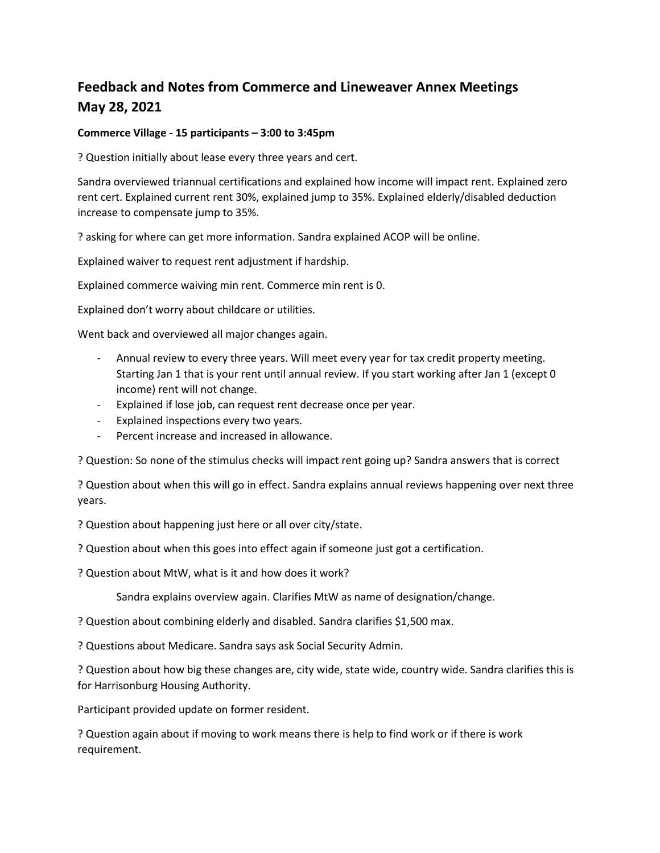# **Feedback and Notes from Commerce and Lineweaver Annex Meetings May 28, 2021**

## **Commerce Village - 15 participants – 3:00 to 3:45pm**

? Question initially about lease every three years and cert.

Sandra overviewed triannual certifications and explained how income will impact rent. Explained zero rent cert. Explained current rent 30%, explained jump to 35%. Explained elderly/disabled deduction increase to compensate jump to 35%.

? asking for where can get more information. Sandra explained ACOP will be online.

Explained waiver to request rent adjustment if hardship.

Explained commerce waiving min rent. Commerce min rent is 0.

Explained don't worry about childcare or utilities.

Went back and overviewed all major changes again.

- Annual review to every three years. Will meet every year for tax credit property meeting. Starting Jan 1 that is your rent until annual review. If you start working after Jan 1 (except 0 income) rent will not change.
- Explained if lose job, can request rent decrease once per year.
- Explained inspections every two years.
- Percent increase and increased in allowance.

? Question: So none of the stimulus checks will impact rent going up? Sandra answers that is correct

? Question about when this will go in effect. Sandra explains annual reviews happening over next three years.

? Question about happening just here or all over city/state.

? Question about when this goes into effect again if someone just got a certification.

? Question about MtW, what is it and how does it work?

Sandra explains overview again. Clarifies MtW as name of designation/change.

? Question about combining elderly and disabled. Sandra clarifies \$1,500 max.

? Questions about Medicare. Sandra says ask Social Security Admin.

? Question about how big these changes are, city wide, state wide, country wide. Sandra clarifies this is for Harrisonburg Housing Authority.

Participant provided update on former resident.

? Question again about if moving to work means there is help to find work or if there is work requirement.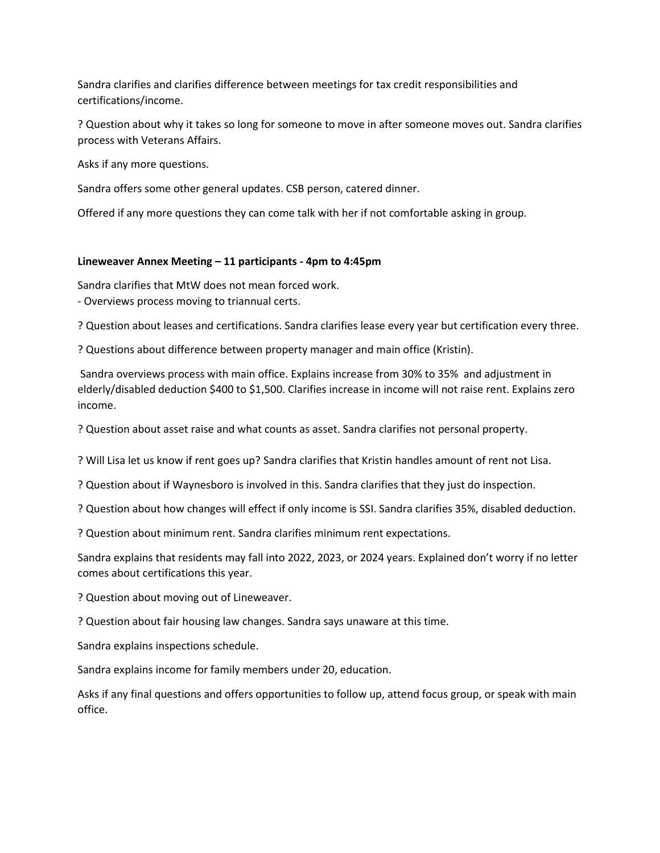Sandra clarifies and clarifies difference between meetings for tax credit responsibilities and certifications/income.

? Question about why it takes so long for someone to move in after someone moves out. Sandra clarifies process with Veterans Affairs.

Asks if any more questions.

Sandra offers some other general updates. CSB person, catered dinner.

Offered if any more questions they can come talk with her if not comfortable asking in group.

## **Lineweaver Annex Meeting – 11 participants - 4pm to 4:45pm**

Sandra clarifies that MtW does not mean forced work.

- Overviews process moving to triannual certs.

? Question about leases and certifications. Sandra clarifies lease every year but certification every three.

? Questions about difference between property manager and main office (Kristin).

Sandra overviews process with main office. Explains increase from 30% to 35% and adjustment in elderly/disabled deduction \$400 to \$1,500. Clarifies increase in income will not raise rent. Explains zero income.

? Question about asset raise and what counts as asset. Sandra clarifies not personal property.

? Will Lisa let us know if rent goes up? Sandra clarifies that Kristin handles amount of rent not Lisa.

? Question about if Waynesboro is involved in this. Sandra clarifies that they just do inspection.

? Question about how changes will effect if only income is SSI. Sandra clarifies 35%, disabled deduction.

? Question about minimum rent. Sandra clarifies minimum rent expectations.

Sandra explains that residents may fall into 2022, 2023, or 2024 years. Explained don't worry if no letter comes about certifications this year.

? Question about moving out of Lineweaver.

? Question about fair housing law changes. Sandra says unaware at this time.

Sandra explains inspections schedule.

Sandra explains income for family members under 20, education.

Asks if any final questions and offers opportunities to follow up, attend focus group, or speak with main office.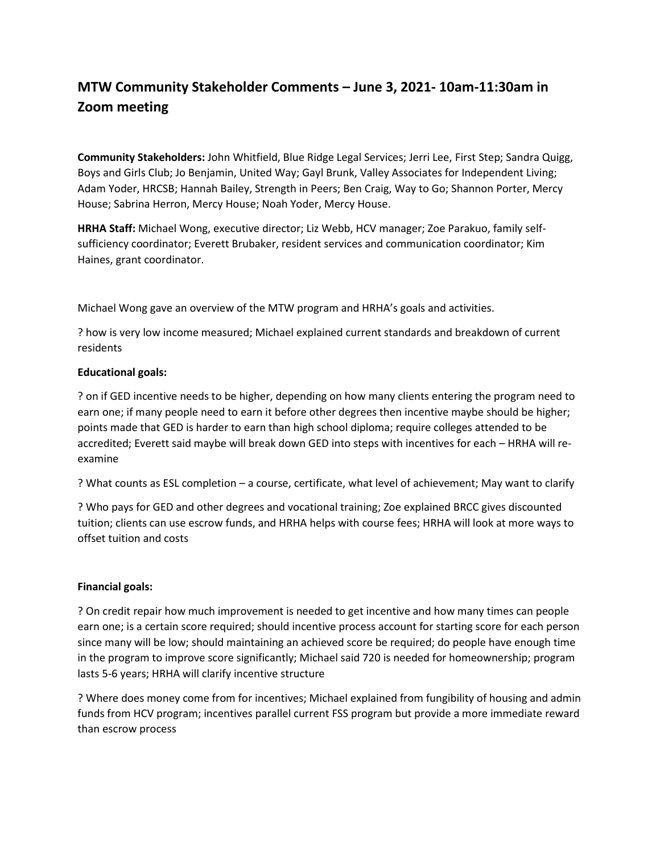# **MTW Community Stakeholder Comments – June 3, 2021- 10am-11:30am in Zoom meeting**

**Community Stakeholders:** John Whitfield, Blue Ridge Legal Services; Jerri Lee, First Step; Sandra Quigg, Boys and Girls Club; Jo Benjamin, United Way; Gayl Brunk, Valley Associates for Independent Living; Adam Yoder, HRCSB; Hannah Bailey, Strength in Peers; Ben Craig, Way to Go; Shannon Porter, Mercy House; Sabrina Herron, Mercy House; Noah Yoder, Mercy House.

**HRHA Staff:** Michael Wong, executive director; Liz Webb, HCV manager; Zoe Parakuo, family selfsufficiency coordinator; Everett Brubaker, resident services and communication coordinator; Kim Haines, grant coordinator.

Michael Wong gave an overview of the MTW program and HRHA's goals and activities.

? how is very low income measured; Michael explained current standards and breakdown of current residents

### **Educational goals:**

? on if GED incentive needs to be higher, depending on how many clients entering the program need to earn one; if many people need to earn it before other degrees then incentive maybe should be higher; points made that GED is harder to earn than high school diploma; require colleges attended to be accredited; Everett said maybe will break down GED into steps with incentives for each – HRHA will reexamine

? What counts as ESL completion – a course, certificate, what level of achievement; May want to clarify

? Who pays for GED and other degrees and vocational training; Zoe explained BRCC gives discounted tuition; clients can use escrow funds, and HRHA helps with course fees; HRHA will look at more ways to offset tuition and costs

### **Financial goals:**

? On credit repair how much improvement is needed to get incentive and how many times can people earn one; is a certain score required; should incentive process account for starting score for each person since many will be low; should maintaining an achieved score be required; do people have enough time in the program to improve score significantly; Michael said 720 is needed for homeownership; program lasts 5-6 years; HRHA will clarify incentive structure

? Where does money come from for incentives; Michael explained from fungibility of housing and admin funds from HCV program; incentives parallel current FSS program but provide a more immediate reward than escrow process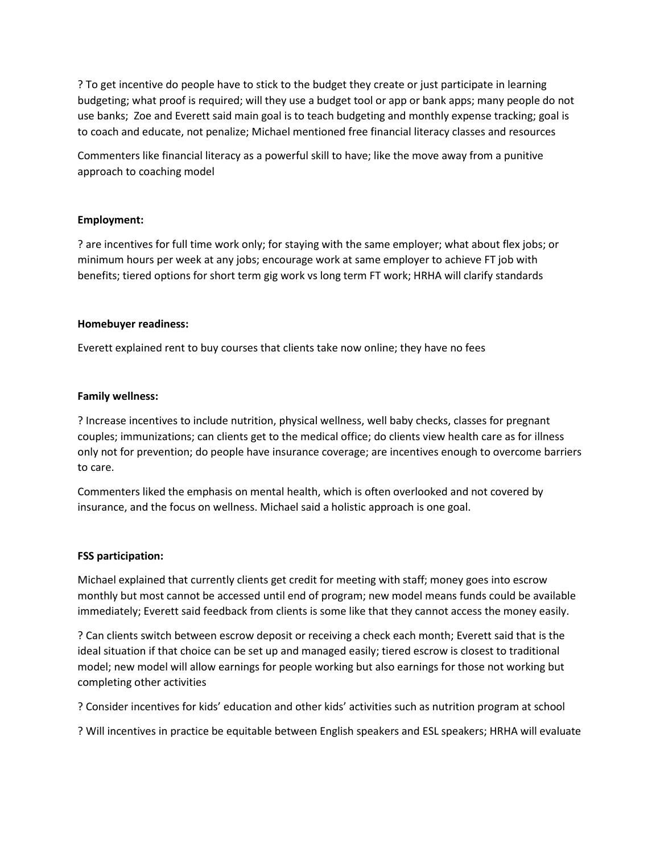? To get incentive do people have to stick to the budget they create or just participate in learning budgeting; what proof is required; will they use a budget tool or app or bank apps; many people do not use banks; Zoe and Everett said main goal is to teach budgeting and monthly expense tracking; goal is to coach and educate, not penalize; Michael mentioned free financial literacy classes and resources

Commenters like financial literacy as a powerful skill to have; like the move away from a punitive approach to coaching model

### **Employment:**

? are incentives for full time work only; for staying with the same employer; what about flex jobs; or minimum hours per week at any jobs; encourage work at same employer to achieve FT job with benefits; tiered options for short term gig work vs long term FT work; HRHA will clarify standards

#### **Homebuyer readiness:**

Everett explained rent to buy courses that clients take now online; they have no fees

#### **Family wellness:**

? Increase incentives to include nutrition, physical wellness, well baby checks, classes for pregnant couples; immunizations; can clients get to the medical office; do clients view health care as for illness only not for prevention; do people have insurance coverage; are incentives enough to overcome barriers to care.

Commenters liked the emphasis on mental health, which is often overlooked and not covered by insurance, and the focus on wellness. Michael said a holistic approach is one goal.

#### **FSS participation:**

Michael explained that currently clients get credit for meeting with staff; money goes into escrow monthly but most cannot be accessed until end of program; new model means funds could be available immediately; Everett said feedback from clients is some like that they cannot access the money easily.

? Can clients switch between escrow deposit or receiving a check each month; Everett said that is the ideal situation if that choice can be set up and managed easily; tiered escrow is closest to traditional model; new model will allow earnings for people working but also earnings for those not working but completing other activities

? Consider incentives for kids' education and other kids' activities such as nutrition program at school

? Will incentives in practice be equitable between English speakers and ESL speakers; HRHA will evaluate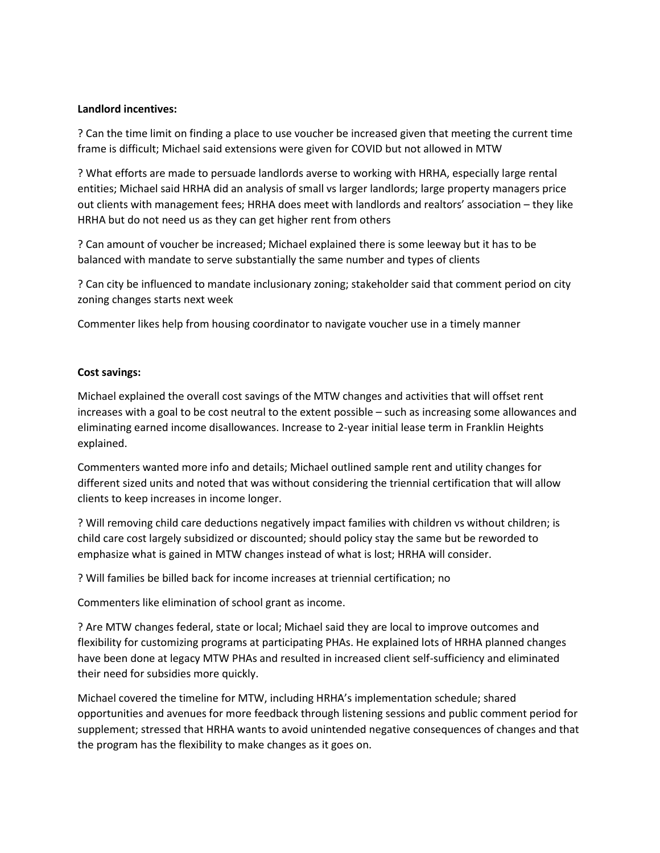### **Landlord incentives:**

? Can the time limit on finding a place to use voucher be increased given that meeting the current time frame is difficult; Michael said extensions were given for COVID but not allowed in MTW

? What efforts are made to persuade landlords averse to working with HRHA, especially large rental entities; Michael said HRHA did an analysis of small vs larger landlords; large property managers price out clients with management fees; HRHA does meet with landlords and realtors' association – they like HRHA but do not need us as they can get higher rent from others

? Can amount of voucher be increased; Michael explained there is some leeway but it has to be balanced with mandate to serve substantially the same number and types of clients

? Can city be influenced to mandate inclusionary zoning; stakeholder said that comment period on city zoning changes starts next week

Commenter likes help from housing coordinator to navigate voucher use in a timely manner

### **Cost savings:**

Michael explained the overall cost savings of the MTW changes and activities that will offset rent increases with a goal to be cost neutral to the extent possible – such as increasing some allowances and eliminating earned income disallowances. Increase to 2-year initial lease term in Franklin Heights explained.

Commenters wanted more info and details; Michael outlined sample rent and utility changes for different sized units and noted that was without considering the triennial certification that will allow clients to keep increases in income longer.

? Will removing child care deductions negatively impact families with children vs without children; is child care cost largely subsidized or discounted; should policy stay the same but be reworded to emphasize what is gained in MTW changes instead of what is lost; HRHA will consider.

? Will families be billed back for income increases at triennial certification; no

Commenters like elimination of school grant as income.

? Are MTW changes federal, state or local; Michael said they are local to improve outcomes and flexibility for customizing programs at participating PHAs. He explained lots of HRHA planned changes have been done at legacy MTW PHAs and resulted in increased client self-sufficiency and eliminated their need for subsidies more quickly.

Michael covered the timeline for MTW, including HRHA's implementation schedule; shared opportunities and avenues for more feedback through listening sessions and public comment period for supplement; stressed that HRHA wants to avoid unintended negative consequences of changes and that the program has the flexibility to make changes as it goes on.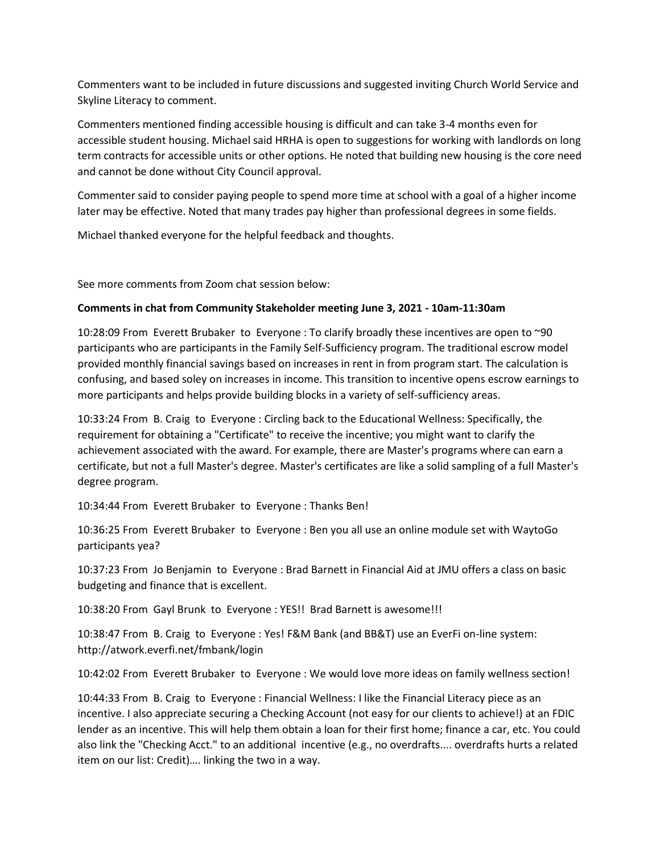Commenters want to be included in future discussions and suggested inviting Church World Service and Skyline Literacy to comment.

Commenters mentioned finding accessible housing is difficult and can take 3-4 months even for accessible student housing. Michael said HRHA is open to suggestions for working with landlords on long term contracts for accessible units or other options. He noted that building new housing is the core need and cannot be done without City Council approval.

Commenter said to consider paying people to spend more time at school with a goal of a higher income later may be effective. Noted that many trades pay higher than professional degrees in some fields.

Michael thanked everyone for the helpful feedback and thoughts.

See more comments from Zoom chat session below:

### **Comments in chat from Community Stakeholder meeting June 3, 2021 - 10am-11:30am**

10:28:09 From Everett Brubaker to Everyone : To clarify broadly these incentives are open to ~90 participants who are participants in the Family Self-Sufficiency program. The traditional escrow model provided monthly financial savings based on increases in rent in from program start. The calculation is confusing, and based soley on increases in income. This transition to incentive opens escrow earnings to more participants and helps provide building blocks in a variety of self-sufficiency areas.

10:33:24 From B. Craig to Everyone : Circling back to the Educational Wellness: Specifically, the requirement for obtaining a "Certificate" to receive the incentive; you might want to clarify the achievement associated with the award. For example, there are Master's programs where can earn a certificate, but not a full Master's degree. Master's certificates are like a solid sampling of a full Master's degree program.

10:34:44 From Everett Brubaker to Everyone : Thanks Ben!

10:36:25 From Everett Brubaker to Everyone : Ben you all use an online module set with WaytoGo participants yea?

10:37:23 From Jo Benjamin to Everyone : Brad Barnett in Financial Aid at JMU offers a class on basic budgeting and finance that is excellent.

10:38:20 From Gayl Brunk to Everyone : YES!! Brad Barnett is awesome!!!

10:38:47 From B. Craig to Everyone : Yes! F&M Bank (and BB&T) use an EverFi on-line system: http://atwork.everfi.net/fmbank/login

10:42:02 From Everett Brubaker to Everyone : We would love more ideas on family wellness section!

10:44:33 From B. Craig to Everyone : Financial Wellness: I like the Financial Literacy piece as an incentive. I also appreciate securing a Checking Account (not easy for our clients to achieve!) at an FDIC lender as an incentive. This will help them obtain a loan for their first home; finance a car, etc. You could also link the "Checking Acct." to an additional incentive (e.g., no overdrafts.... overdrafts hurts a related item on our list: Credit)…. linking the two in a way.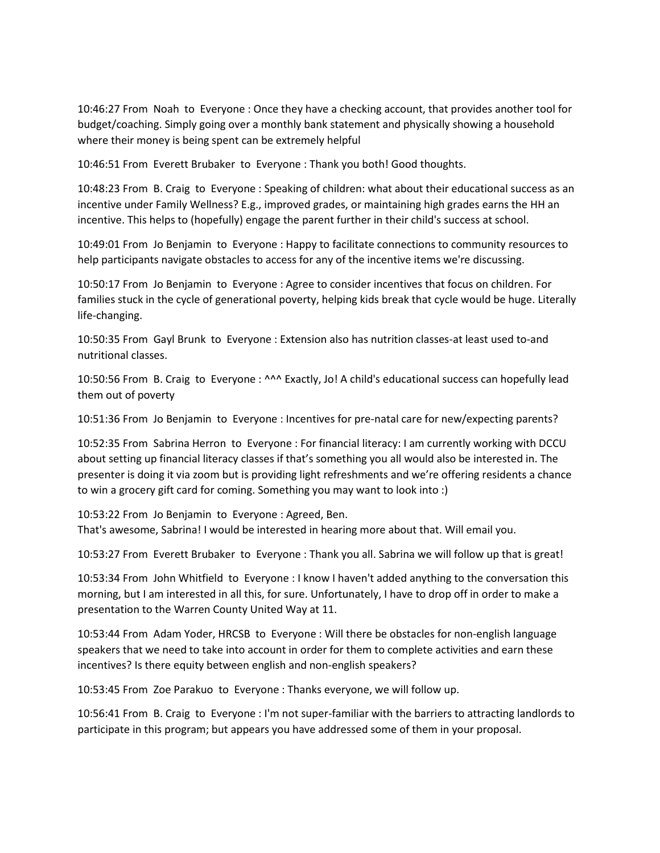10:46:27 From Noah to Everyone : Once they have a checking account, that provides another tool for budget/coaching. Simply going over a monthly bank statement and physically showing a household where their money is being spent can be extremely helpful

10:46:51 From Everett Brubaker to Everyone : Thank you both! Good thoughts.

10:48:23 From B. Craig to Everyone : Speaking of children: what about their educational success as an incentive under Family Wellness? E.g., improved grades, or maintaining high grades earns the HH an incentive. This helps to (hopefully) engage the parent further in their child's success at school.

10:49:01 From Jo Benjamin to Everyone : Happy to facilitate connections to community resources to help participants navigate obstacles to access for any of the incentive items we're discussing.

10:50:17 From Jo Benjamin to Everyone : Agree to consider incentives that focus on children. For families stuck in the cycle of generational poverty, helping kids break that cycle would be huge. Literally life-changing.

10:50:35 From Gayl Brunk to Everyone : Extension also has nutrition classes-at least used to-and nutritional classes.

10:50:56 From B. Craig to Everyone : ^^^ Exactly, Jo! A child's educational success can hopefully lead them out of poverty

10:51:36 From Jo Benjamin to Everyone : Incentives for pre-natal care for new/expecting parents?

10:52:35 From Sabrina Herron to Everyone : For financial literacy: I am currently working with DCCU about setting up financial literacy classes if that's something you all would also be interested in. The presenter is doing it via zoom but is providing light refreshments and we're offering residents a chance to win a grocery gift card for coming. Something you may want to look into :)

10:53:22 From Jo Benjamin to Everyone : Agreed, Ben. That's awesome, Sabrina! I would be interested in hearing more about that. Will email you.

10:53:27 From Everett Brubaker to Everyone : Thank you all. Sabrina we will follow up that is great!

10:53:34 From John Whitfield to Everyone : I know I haven't added anything to the conversation this morning, but I am interested in all this, for sure. Unfortunately, I have to drop off in order to make a presentation to the Warren County United Way at 11.

10:53:44 From Adam Yoder, HRCSB to Everyone : Will there be obstacles for non-english language speakers that we need to take into account in order for them to complete activities and earn these incentives? Is there equity between english and non-english speakers?

10:53:45 From Zoe Parakuo to Everyone : Thanks everyone, we will follow up.

10:56:41 From B. Craig to Everyone : I'm not super-familiar with the barriers to attracting landlords to participate in this program; but appears you have addressed some of them in your proposal.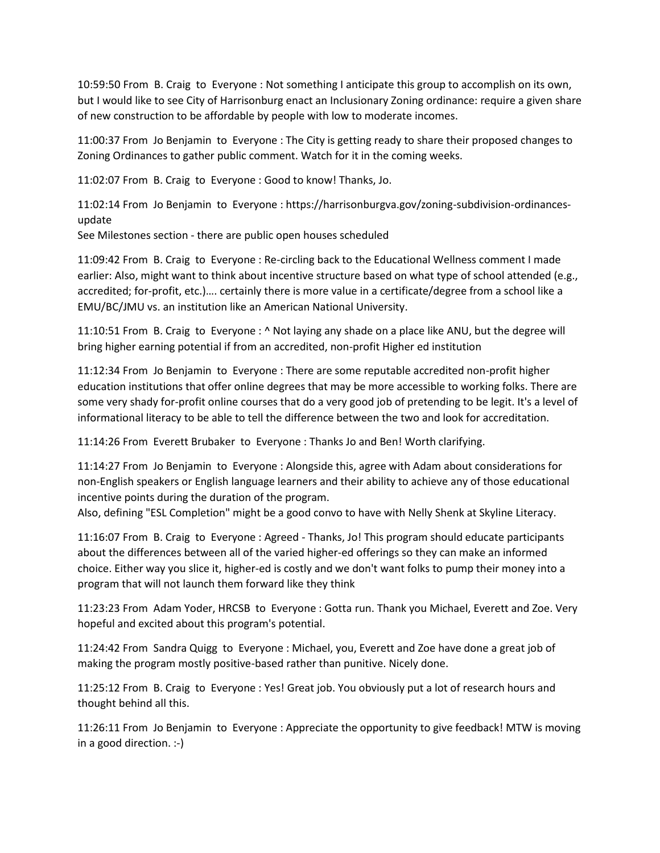10:59:50 From B. Craig to Everyone : Not something I anticipate this group to accomplish on its own, but I would like to see City of Harrisonburg enact an Inclusionary Zoning ordinance: require a given share of new construction to be affordable by people with low to moderate incomes.

11:00:37 From Jo Benjamin to Everyone : The City is getting ready to share their proposed changes to Zoning Ordinances to gather public comment. Watch for it in the coming weeks.

11:02:07 From B. Craig to Everyone : Good to know! Thanks, Jo.

11:02:14 From Jo Benjamin to Everyone : https://harrisonburgva.gov/zoning-subdivision-ordinancesupdate

See Milestones section - there are public open houses scheduled

11:09:42 From B. Craig to Everyone : Re-circling back to the Educational Wellness comment I made earlier: Also, might want to think about incentive structure based on what type of school attended (e.g., accredited; for-profit, etc.)…. certainly there is more value in a certificate/degree from a school like a EMU/BC/JMU vs. an institution like an American National University.

11:10:51 From B. Craig to Everyone : ^ Not laying any shade on a place like ANU, but the degree will bring higher earning potential if from an accredited, non-profit Higher ed institution

11:12:34 From Jo Benjamin to Everyone : There are some reputable accredited non-profit higher education institutions that offer online degrees that may be more accessible to working folks. There are some very shady for-profit online courses that do a very good job of pretending to be legit. It's a level of informational literacy to be able to tell the difference between the two and look for accreditation.

11:14:26 From Everett Brubaker to Everyone : Thanks Jo and Ben! Worth clarifying.

11:14:27 From Jo Benjamin to Everyone : Alongside this, agree with Adam about considerations for non-English speakers or English language learners and their ability to achieve any of those educational incentive points during the duration of the program.

Also, defining "ESL Completion" might be a good convo to have with Nelly Shenk at Skyline Literacy.

11:16:07 From B. Craig to Everyone : Agreed - Thanks, Jo! This program should educate participants about the differences between all of the varied higher-ed offerings so they can make an informed choice. Either way you slice it, higher-ed is costly and we don't want folks to pump their money into a program that will not launch them forward like they think

11:23:23 From Adam Yoder, HRCSB to Everyone : Gotta run. Thank you Michael, Everett and Zoe. Very hopeful and excited about this program's potential.

11:24:42 From Sandra Quigg to Everyone : Michael, you, Everett and Zoe have done a great job of making the program mostly positive-based rather than punitive. Nicely done.

11:25:12 From B. Craig to Everyone : Yes! Great job. You obviously put a lot of research hours and thought behind all this.

11:26:11 From Jo Benjamin to Everyone : Appreciate the opportunity to give feedback! MTW is moving in a good direction. :-)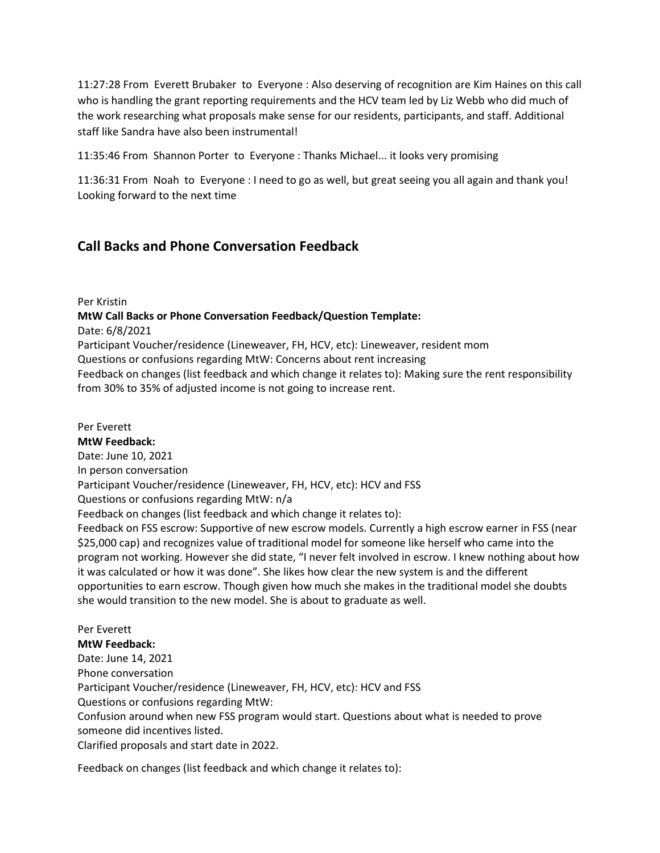11:27:28 From Everett Brubaker to Everyone : Also deserving of recognition are Kim Haines on this call who is handling the grant reporting requirements and the HCV team led by Liz Webb who did much of the work researching what proposals make sense for our residents, participants, and staff. Additional staff like Sandra have also been instrumental!

11:35:46 From Shannon Porter to Everyone : Thanks Michael... it looks very promising

11:36:31 From Noah to Everyone : I need to go as well, but great seeing you all again and thank you! Looking forward to the next time

# **Call Backs and Phone Conversation Feedback**

Per Kristin

**MtW Call Backs or Phone Conversation Feedback/Question Template:** 

Date: 6/8/2021

Participant Voucher/residence (Lineweaver, FH, HCV, etc): Lineweaver, resident mom

Questions or confusions regarding MtW: Concerns about rent increasing

Feedback on changes (list feedback and which change it relates to): Making sure the rent responsibility from 30% to 35% of adjusted income is not going to increase rent.

Per Everett **MtW Feedback:**  Date: June 10, 2021 In person conversation Participant Voucher/residence (Lineweaver, FH, HCV, etc): HCV and FSS Questions or confusions regarding MtW: n/a Feedback on changes (list feedback and which change it relates to): Feedback on FSS escrow: Supportive of new escrow models. Currently a high escrow earner in FSS (near \$25,000 cap) and recognizes value of traditional model for someone like herself who came into the program not working. However she did state, "I never felt involved in escrow. I knew nothing about how it was calculated or how it was done". She likes how clear the new system is and the different opportunities to earn escrow. Though given how much she makes in the traditional model she doubts she would transition to the new model. She is about to graduate as well.

Per Everett **MtW Feedback:**  Date: June 14, 2021 Phone conversation Participant Voucher/residence (Lineweaver, FH, HCV, etc): HCV and FSS Questions or confusions regarding MtW: Confusion around when new FSS program would start. Questions about what is needed to prove someone did incentives listed. Clarified proposals and start date in 2022.

Feedback on changes (list feedback and which change it relates to):